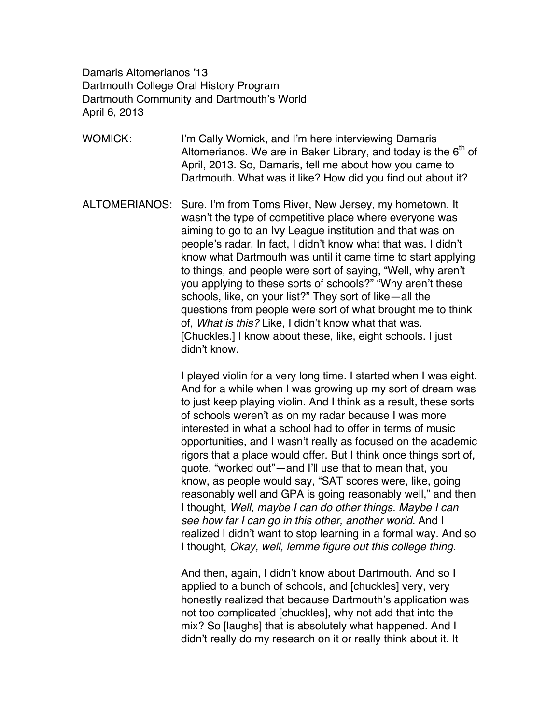Damaris Altomerianos '13 Dartmouth College Oral History Program Dartmouth Community and Dartmouth's World April 6, 2013

- WOMICK: I'm Cally Womick, and I'm here interviewing Damaris Altomerianos. We are in Baker Library, and today is the  $6<sup>th</sup>$  of April, 2013. So, Damaris, tell me about how you came to Dartmouth. What was it like? How did you find out about it?
- ALTOMERIANOS: Sure. I'm from Toms River, New Jersey, my hometown. It wasn't the type of competitive place where everyone was aiming to go to an Ivy League institution and that was on people's radar. In fact, I didn't know what that was. I didn't know what Dartmouth was until it came time to start applying to things, and people were sort of saying, "Well, why aren't you applying to these sorts of schools?" "Why aren't these schools, like, on your list?" They sort of like—all the questions from people were sort of what brought me to think of, *What is this?* Like, I didn't know what that was. [Chuckles.] I know about these, like, eight schools. I just didn't know.

I played violin for a very long time. I started when I was eight. And for a while when I was growing up my sort of dream was to just keep playing violin. And I think as a result, these sorts of schools weren't as on my radar because I was more interested in what a school had to offer in terms of music opportunities, and I wasn't really as focused on the academic rigors that a place would offer. But I think once things sort of, quote, "worked out"—and I'll use that to mean that, you know, as people would say, "SAT scores were, like, going reasonably well and GPA is going reasonably well," and then I thought, *Well, maybe I can do other things. Maybe I can see how far I can go in this other, another world.* And I realized I didn't want to stop learning in a formal way. And so I thought, *Okay, well, lemme figure out this college thing.*

And then, again, I didn't know about Dartmouth. And so I applied to a bunch of schools, and [chuckles] very, very honestly realized that because Dartmouth's application was not too complicated [chuckles], why not add that into the mix? So [laughs] that is absolutely what happened. And I didn't really do my research on it or really think about it. It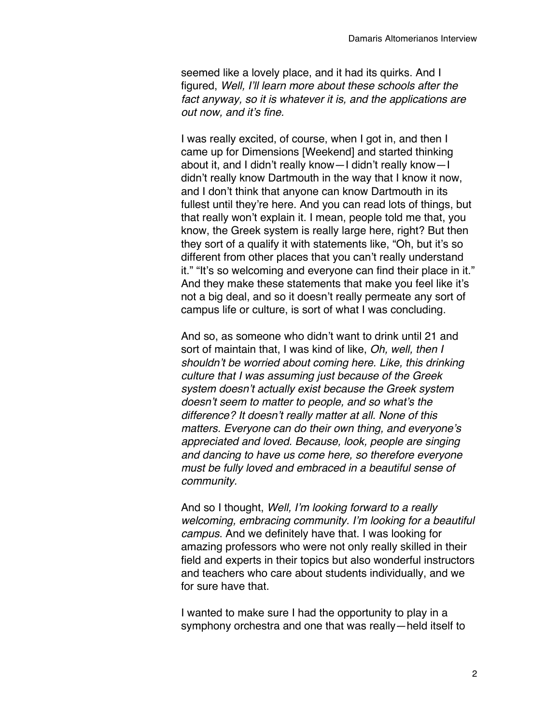seemed like a lovely place, and it had its quirks. And I figured, *Well, I'll learn more about these schools after the fact anyway, so it is whatever it is, and the applications are out now, and it's fine.*

I was really excited, of course, when I got in, and then I came up for Dimensions [Weekend] and started thinking about it, and I didn't really know—I didn't really know—I didn't really know Dartmouth in the way that I know it now, and I don't think that anyone can know Dartmouth in its fullest until they're here. And you can read lots of things, but that really won't explain it. I mean, people told me that, you know, the Greek system is really large here, right? But then they sort of a qualify it with statements like, "Oh, but it's so different from other places that you can't really understand it." "It's so welcoming and everyone can find their place in it." And they make these statements that make you feel like it's not a big deal, and so it doesn't really permeate any sort of campus life or culture, is sort of what I was concluding.

And so, as someone who didn't want to drink until 21 and sort of maintain that, I was kind of like, *Oh, well, then I shouldn't be worried about coming here. Like, this drinking culture that I was assuming just because of the Greek system doesn't actually exist because the Greek system doesn't seem to matter to people, and so what's the difference? It doesn't really matter at all. None of this matters. Everyone can do their own thing, and everyone's appreciated and loved. Because, look, people are singing and dancing to have us come here, so therefore everyone must be fully loved and embraced in a beautiful sense of community.*

And so I thought, *Well, I'm looking forward to a really welcoming, embracing community. I'm looking for a beautiful campus*. And we definitely have that. I was looking for amazing professors who were not only really skilled in their field and experts in their topics but also wonderful instructors and teachers who care about students individually, and we for sure have that.

I wanted to make sure I had the opportunity to play in a symphony orchestra and one that was really—held itself to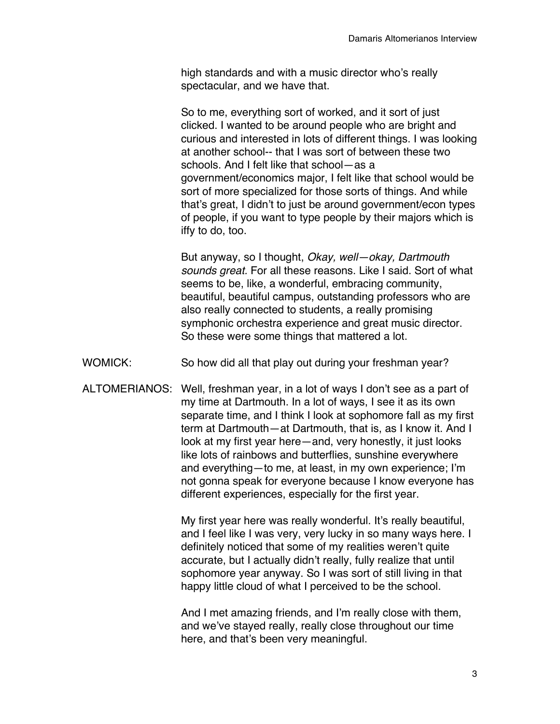high standards and with a music director who's really spectacular, and we have that.

So to me, everything sort of worked, and it sort of just clicked. I wanted to be around people who are bright and curious and interested in lots of different things. I was looking at another school-- that I was sort of between these two schools. And I felt like that school—as a government/economics major, I felt like that school would be sort of more specialized for those sorts of things. And while that's great, I didn't to just be around government/econ types of people, if you want to type people by their majors which is iffy to do, too.

But anyway, so I thought, *Okay, well—okay, Dartmouth sounds great.* For all these reasons. Like I said. Sort of what seems to be, like, a wonderful, embracing community, beautiful, beautiful campus, outstanding professors who are also really connected to students, a really promising symphonic orchestra experience and great music director. So these were some things that mattered a lot.

WOMICK: So how did all that play out during your freshman year?

ALTOMERIANOS: Well, freshman year, in a lot of ways I don't see as a part of my time at Dartmouth. In a lot of ways, I see it as its own separate time, and I think I look at sophomore fall as my first term at Dartmouth—at Dartmouth, that is, as I know it. And I look at my first year here—and, very honestly, it just looks like lots of rainbows and butterflies, sunshine everywhere and everything—to me, at least, in my own experience; I'm not gonna speak for everyone because I know everyone has different experiences, especially for the first year.

> My first year here was really wonderful. It's really beautiful, and I feel like I was very, very lucky in so many ways here. I definitely noticed that some of my realities weren't quite accurate, but I actually didn't really, fully realize that until sophomore year anyway. So I was sort of still living in that happy little cloud of what I perceived to be the school.

And I met amazing friends, and I'm really close with them, and we've stayed really, really close throughout our time here, and that's been very meaningful.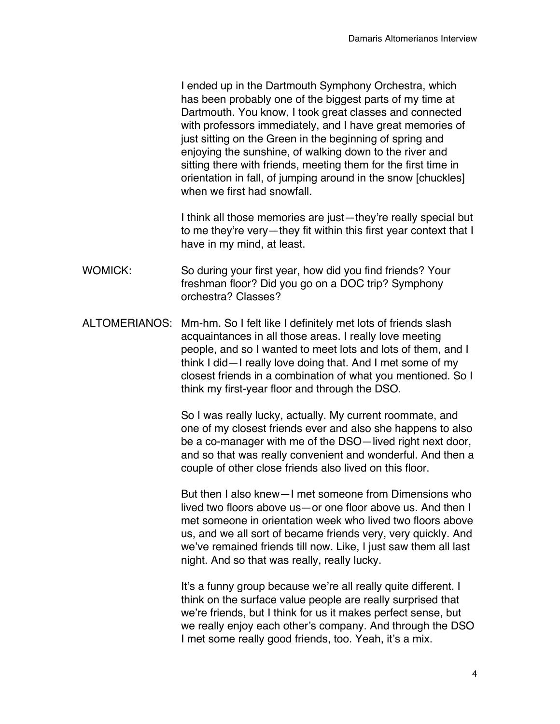I ended up in the Dartmouth Symphony Orchestra, which has been probably one of the biggest parts of my time at Dartmouth. You know, I took great classes and connected with professors immediately, and I have great memories of just sitting on the Green in the beginning of spring and enjoying the sunshine, of walking down to the river and sitting there with friends, meeting them for the first time in orientation in fall, of jumping around in the snow [chuckles] when we first had snowfall.

I think all those memories are just—they're really special but to me they're very—they fit within this first year context that I have in my mind, at least.

- WOMICK: So during your first year, how did you find friends? Your freshman floor? Did you go on a DOC trip? Symphony orchestra? Classes?
- ALTOMERIANOS: Mm-hm. So I felt like I definitely met lots of friends slash acquaintances in all those areas. I really love meeting people, and so I wanted to meet lots and lots of them, and I think I did—I really love doing that. And I met some of my closest friends in a combination of what you mentioned. So I think my first-year floor and through the DSO.

So I was really lucky, actually. My current roommate, and one of my closest friends ever and also she happens to also be a co-manager with me of the DSO—lived right next door, and so that was really convenient and wonderful. And then a couple of other close friends also lived on this floor.

But then I also knew—I met someone from Dimensions who lived two floors above us—or one floor above us. And then I met someone in orientation week who lived two floors above us, and we all sort of became friends very, very quickly. And we've remained friends till now. Like, I just saw them all last night. And so that was really, really lucky.

It's a funny group because we're all really quite different. I think on the surface value people are really surprised that we're friends, but I think for us it makes perfect sense, but we really enjoy each other's company. And through the DSO I met some really good friends, too. Yeah, it's a mix.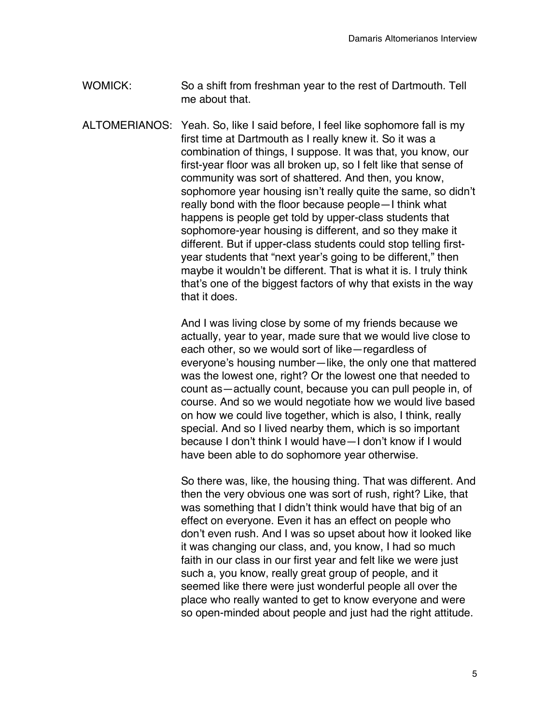- WOMICK: So a shift from freshman year to the rest of Dartmouth. Tell me about that.
- ALTOMERIANOS: Yeah. So, like I said before, I feel like sophomore fall is my first time at Dartmouth as I really knew it. So it was a combination of things, I suppose. It was that, you know, our first-year floor was all broken up, so I felt like that sense of community was sort of shattered. And then, you know, sophomore year housing isn't really quite the same, so didn't really bond with the floor because people—I think what happens is people get told by upper-class students that sophomore-year housing is different, and so they make it different. But if upper-class students could stop telling firstyear students that "next year's going to be different," then maybe it wouldn't be different. That is what it is. I truly think that's one of the biggest factors of why that exists in the way that it does.

And I was living close by some of my friends because we actually, year to year, made sure that we would live close to each other, so we would sort of like—regardless of everyone's housing number—like, the only one that mattered was the lowest one, right? Or the lowest one that needed to count as—actually count, because you can pull people in, of course. And so we would negotiate how we would live based on how we could live together, which is also, I think, really special. And so I lived nearby them, which is so important because I don't think I would have—I don't know if I would have been able to do sophomore year otherwise.

So there was, like, the housing thing. That was different. And then the very obvious one was sort of rush, right? Like, that was something that I didn't think would have that big of an effect on everyone. Even it has an effect on people who don't even rush. And I was so upset about how it looked like it was changing our class, and, you know, I had so much faith in our class in our first year and felt like we were just such a, you know, really great group of people, and it seemed like there were just wonderful people all over the place who really wanted to get to know everyone and were so open-minded about people and just had the right attitude.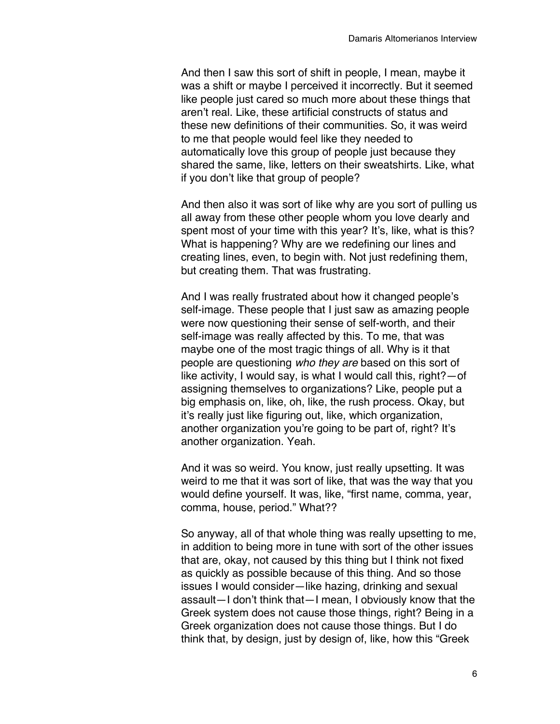And then I saw this sort of shift in people, I mean, maybe it was a shift or maybe I perceived it incorrectly. But it seemed like people just cared so much more about these things that aren't real. Like, these artificial constructs of status and these new definitions of their communities. So, it was weird to me that people would feel like they needed to automatically love this group of people just because they shared the same, like, letters on their sweatshirts. Like, what if you don't like that group of people?

And then also it was sort of like why are you sort of pulling us all away from these other people whom you love dearly and spent most of your time with this year? It's, like, what is this? What is happening? Why are we redefining our lines and creating lines, even, to begin with. Not just redefining them, but creating them. That was frustrating.

And I was really frustrated about how it changed people's self-image. These people that I just saw as amazing people were now questioning their sense of self-worth, and their self-image was really affected by this. To me, that was maybe one of the most tragic things of all. Why is it that people are questioning *who they are* based on this sort of like activity, I would say, is what I would call this, right?—of assigning themselves to organizations? Like, people put a big emphasis on, like, oh, like, the rush process. Okay, but it's really just like figuring out, like, which organization, another organization you're going to be part of, right? It's another organization. Yeah.

And it was so weird. You know, just really upsetting. It was weird to me that it was sort of like, that was the way that you would define yourself. It was, like, "first name, comma, year, comma, house, period." What??

So anyway, all of that whole thing was really upsetting to me, in addition to being more in tune with sort of the other issues that are, okay, not caused by this thing but I think not fixed as quickly as possible because of this thing. And so those issues I would consider—like hazing, drinking and sexual assault—I don't think that—I mean, I obviously know that the Greek system does not cause those things, right? Being in a Greek organization does not cause those things. But I do think that, by design, just by design of, like, how this "Greek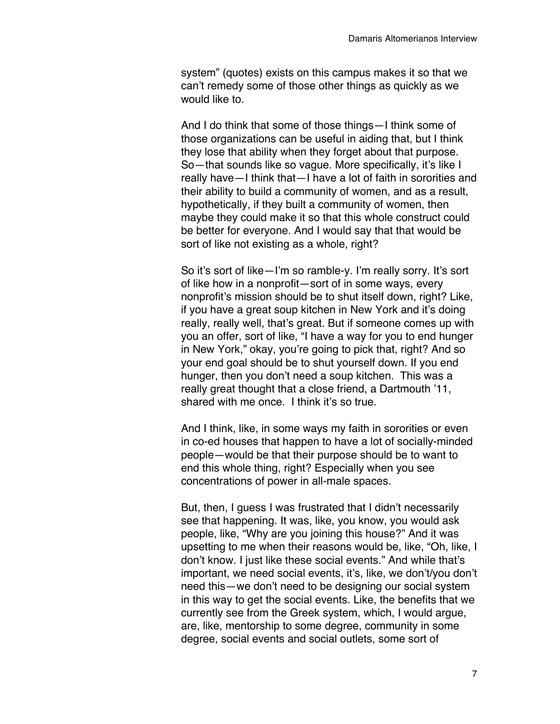system" (quotes) exists on this campus makes it so that we can't remedy some of those other things as quickly as we would like to.

And I do think that some of those things—I think some of those organizations can be useful in aiding that, but I think they lose that ability when they forget about that purpose. So—that sounds like so vague. More specifically, it's like I really have—I think that—I have a lot of faith in sororities and their ability to build a community of women, and as a result, hypothetically, if they built a community of women, then maybe they could make it so that this whole construct could be better for everyone. And I would say that that would be sort of like not existing as a whole, right?

So it's sort of like—I'm so ramble-y. I'm really sorry. It's sort of like how in a nonprofit—sort of in some ways, every nonprofit's mission should be to shut itself down, right? Like, if you have a great soup kitchen in New York and it's doing really, really well, that's great. But if someone comes up with you an offer, sort of like, "I have a way for you to end hunger in New York," okay, you're going to pick that, right? And so your end goal should be to shut yourself down. If you end hunger, then you don't need a soup kitchen. This was a really great thought that a close friend, a Dartmouth '11, shared with me once. I think it's so true.

And I think, like, in some ways my faith in sororities or even in co-ed houses that happen to have a lot of socially-minded people—would be that their purpose should be to want to end this whole thing, right? Especially when you see concentrations of power in all-male spaces.

But, then, I guess I was frustrated that I didn't necessarily see that happening. It was, like, you know, you would ask people, like, "Why are you joining this house?" And it was upsetting to me when their reasons would be, like, "Oh, like, I don't know. I just like these social events." And while that's important, we need social events, it's, like, we don't/you don't need this—we don't need to be designing our social system in this way to get the social events. Like, the benefits that we currently see from the Greek system, which, I would argue, are, like, mentorship to some degree, community in some degree, social events and social outlets, some sort of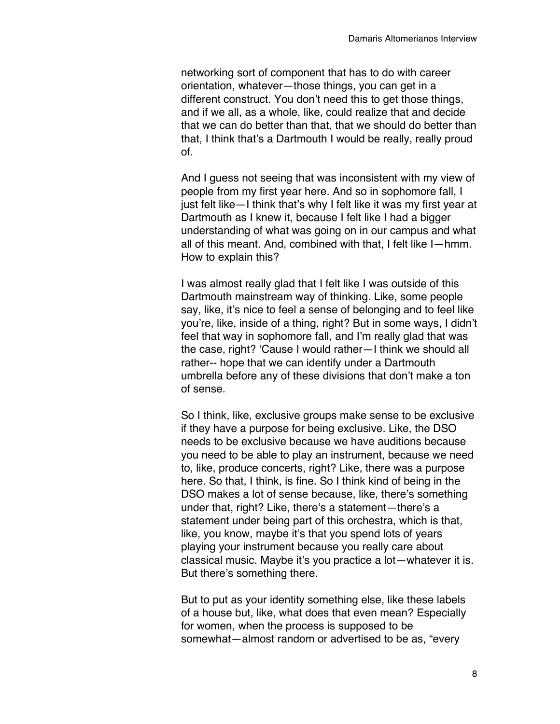networking sort of component that has to do with career orientation, whatever—those things, you can get in a different construct. You don't need this to get those things, and if we all, as a whole, like, could realize that and decide that we can do better than that, that we should do better than that, I think that's a Dartmouth I would be really, really proud of.

And I guess not seeing that was inconsistent with my view of people from my first year here. And so in sophomore fall, I just felt like—I think that's why I felt like it was my first year at Dartmouth as I knew it, because I felt like I had a bigger understanding of what was going on in our campus and what all of this meant. And, combined with that, I felt like I—hmm. How to explain this?

I was almost really glad that I felt like I was outside of this Dartmouth mainstream way of thinking. Like, some people say, like, it's nice to feel a sense of belonging and to feel like you're, like, inside of a thing, right? But in some ways, I didn't feel that way in sophomore fall, and I'm really glad that was the case, right? 'Cause I would rather—I think we should all rather-- hope that we can identify under a Dartmouth umbrella before any of these divisions that don't make a ton of sense.

So I think, like, exclusive groups make sense to be exclusive if they have a purpose for being exclusive. Like, the DSO needs to be exclusive because we have auditions because you need to be able to play an instrument, because we need to, like, produce concerts, right? Like, there was a purpose here. So that, I think, is fine. So I think kind of being in the DSO makes a lot of sense because, like, there's something under that, right? Like, there's a statement—there's a statement under being part of this orchestra, which is that, like, you know, maybe it's that you spend lots of years playing your instrument because you really care about classical music. Maybe it's you practice a lot—whatever it is. But there's something there.

But to put as your identity something else, like these labels of a house but, like, what does that even mean? Especially for women, when the process is supposed to be somewhat—almost random or advertised to be as, "every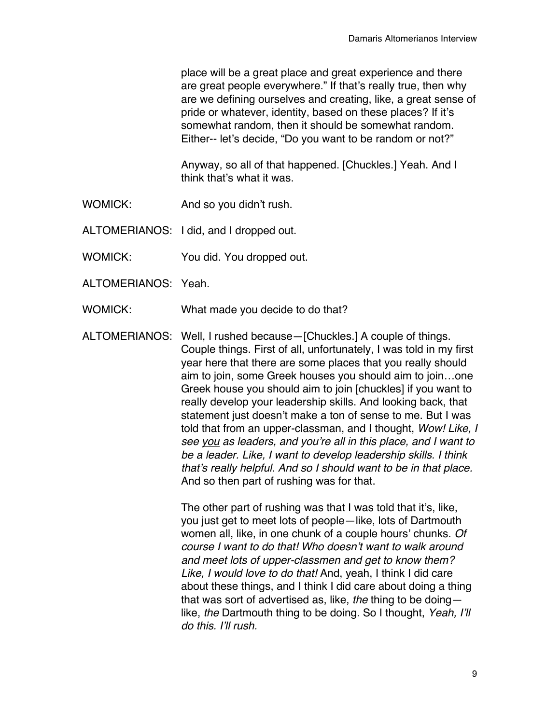place will be a great place and great experience and there are great people everywhere." If that's really true, then why are we defining ourselves and creating, like, a great sense of pride or whatever, identity, based on these places? If it's somewhat random, then it should be somewhat random. Either-- let's decide, "Do you want to be random or not?"

Anyway, so all of that happened. [Chuckles.] Yeah. And I think that's what it was.

WOMICK: And so you didn't rush.

ALTOMERIANOS: I did, and I dropped out.

- WOMICK: You did. You dropped out.
- ALTOMERIANOS: Yeah.
- WOMICK: What made you decide to do that?
- ALTOMERIANOS: Well, I rushed because—[Chuckles.] A couple of things. Couple things. First of all, unfortunately, I was told in my first year here that there are some places that you really should aim to join, some Greek houses you should aim to join…one Greek house you should aim to join [chuckles] if you want to really develop your leadership skills. And looking back, that statement just doesn't make a ton of sense to me. But I was told that from an upper-classman, and I thought, *Wow! Like, I see you as leaders, and you're all in this place, and I want to be a leader. Like, I want to develop leadership skills. I think that's really helpful. And so I should want to be in that place.* And so then part of rushing was for that.

The other part of rushing was that I was told that it's, like, you just get to meet lots of people—like, lots of Dartmouth women all, like, in one chunk of a couple hours' chunks. *Of course I want to do that! Who doesn't want to walk around and meet lots of upper-classmen and get to know them? Like, I would love to do that!* And, yeah, I think I did care about these things, and I think I did care about doing a thing that was sort of advertised as, like, *the* thing to be doing like, *the* Dartmouth thing to be doing. So I thought, *Yeah, I'll do this. I'll rush.*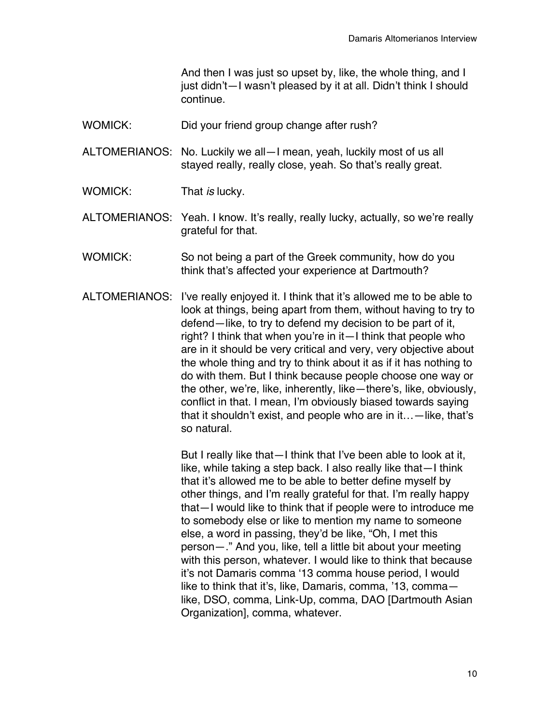And then I was just so upset by, like, the whole thing, and I just didn't—I wasn't pleased by it at all. Didn't think I should continue.

- WOMICK: Did your friend group change after rush?
- ALTOMERIANOS: No. Luckily we all—I mean, yeah, luckily most of us all stayed really, really close, yeah. So that's really great.
- WOMICK: That *is* lucky.
- ALTOMERIANOS: Yeah. I know. It's really, really lucky, actually, so we're really grateful for that.
- WOMICK: So not being a part of the Greek community, how do you think that's affected your experience at Dartmouth?
- ALTOMERIANOS: I've really enjoyed it. I think that it's allowed me to be able to look at things, being apart from them, without having to try to defend—like, to try to defend my decision to be part of it, right? I think that when you're in it—I think that people who are in it should be very critical and very, very objective about the whole thing and try to think about it as if it has nothing to do with them. But I think because people choose one way or the other, we're, like, inherently, like—there's, like, obviously, conflict in that. I mean, I'm obviously biased towards saying that it shouldn't exist, and people who are in it…—like, that's so natural.

But I really like that—I think that I've been able to look at it, like, while taking a step back. I also really like that—I think that it's allowed me to be able to better define myself by other things, and I'm really grateful for that. I'm really happy that—I would like to think that if people were to introduce me to somebody else or like to mention my name to someone else, a word in passing, they'd be like, "Oh, I met this person—." And you, like, tell a little bit about your meeting with this person, whatever. I would like to think that because it's not Damaris comma '13 comma house period, I would like to think that it's, like, Damaris, comma, '13, comma like, DSO, comma, Link-Up, comma, DAO [Dartmouth Asian Organization], comma, whatever.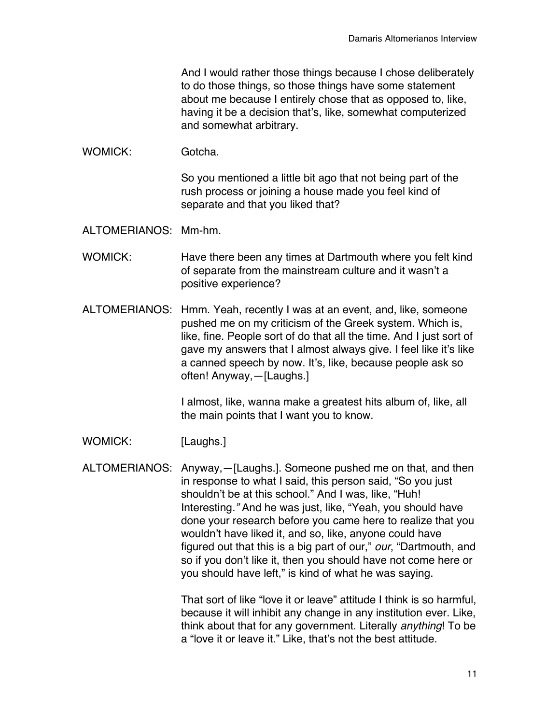And I would rather those things because I chose deliberately to do those things, so those things have some statement about me because I entirely chose that as opposed to, like, having it be a decision that's, like, somewhat computerized and somewhat arbitrary.

## WOMICK: Gotcha.

So you mentioned a little bit ago that not being part of the rush process or joining a house made you feel kind of separate and that you liked that?

ALTOMERIANOS: Mm-hm.

- WOMICK: Have there been any times at Dartmouth where you felt kind of separate from the mainstream culture and it wasn't a positive experience?
- ALTOMERIANOS: Hmm. Yeah, recently I was at an event, and, like, someone pushed me on my criticism of the Greek system. Which is, like, fine. People sort of do that all the time. And I just sort of gave my answers that I almost always give. I feel like it's like a canned speech by now. It's, like, because people ask so often! Anyway,—[Laughs.]

I almost, like, wanna make a greatest hits album of, like, all the main points that I want you to know.

WOMICK: [Laughs.]

ALTOMERIANOS: Anyway,—[Laughs.]. Someone pushed me on that, and then in response to what I said, this person said, "So you just shouldn't be at this school." And I was, like, "Huh! Interesting*."* And he was just, like, "Yeah, you should have done your research before you came here to realize that you wouldn't have liked it, and so, like, anyone could have figured out that this is a big part of our," *our*, "Dartmouth, and so if you don't like it, then you should have not come here or you should have left," is kind of what he was saying.

> That sort of like "love it or leave" attitude I think is so harmful, because it will inhibit any change in any institution ever. Like, think about that for any government. Literally *anything*! To be a "love it or leave it." Like, that's not the best attitude.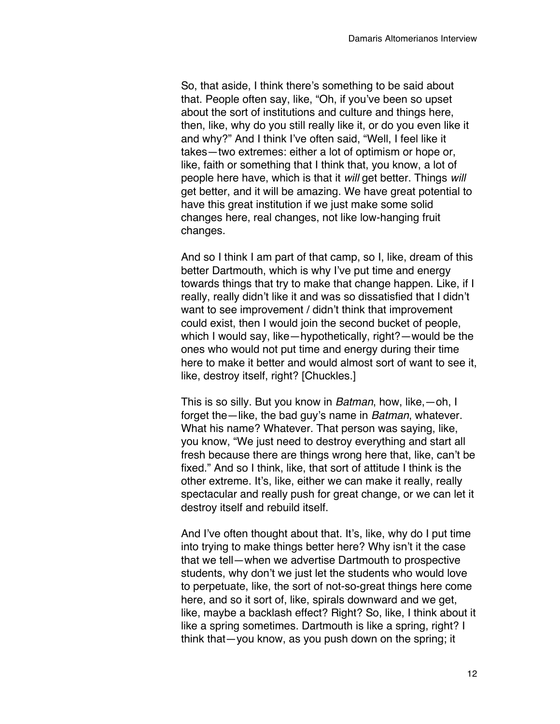So, that aside, I think there's something to be said about that. People often say, like, "Oh, if you've been so upset about the sort of institutions and culture and things here, then, like, why do you still really like it, or do you even like it and why?" And I think I've often said, "Well, I feel like it takes—two extremes: either a lot of optimism or hope or, like, faith or something that I think that, you know, a lot of people here have, which is that it *will* get better. Things *will* get better, and it will be amazing. We have great potential to have this great institution if we just make some solid changes here, real changes, not like low-hanging fruit changes.

And so I think I am part of that camp, so I, like, dream of this better Dartmouth, which is why I've put time and energy towards things that try to make that change happen. Like, if I really, really didn't like it and was so dissatisfied that I didn't want to see improvement / didn't think that improvement could exist, then I would join the second bucket of people, which I would say, like—hypothetically, right?—would be the ones who would not put time and energy during their time here to make it better and would almost sort of want to see it, like, destroy itself, right? [Chuckles.]

This is so silly. But you know in *Batman*, how, like,—oh, I forget the—like, the bad guy's name in *Batman*, whatever. What his name? Whatever. That person was saying, like, you know, "We just need to destroy everything and start all fresh because there are things wrong here that, like, can't be fixed." And so I think, like, that sort of attitude I think is the other extreme. It's, like, either we can make it really, really spectacular and really push for great change, or we can let it destroy itself and rebuild itself.

And I've often thought about that. It's, like, why do I put time into trying to make things better here? Why isn't it the case that we tell—when we advertise Dartmouth to prospective students, why don't we just let the students who would love to perpetuate, like, the sort of not-so-great things here come here, and so it sort of, like, spirals downward and we get, like, maybe a backlash effect? Right? So, like, I think about it like a spring sometimes. Dartmouth is like a spring, right? I think that—you know, as you push down on the spring; it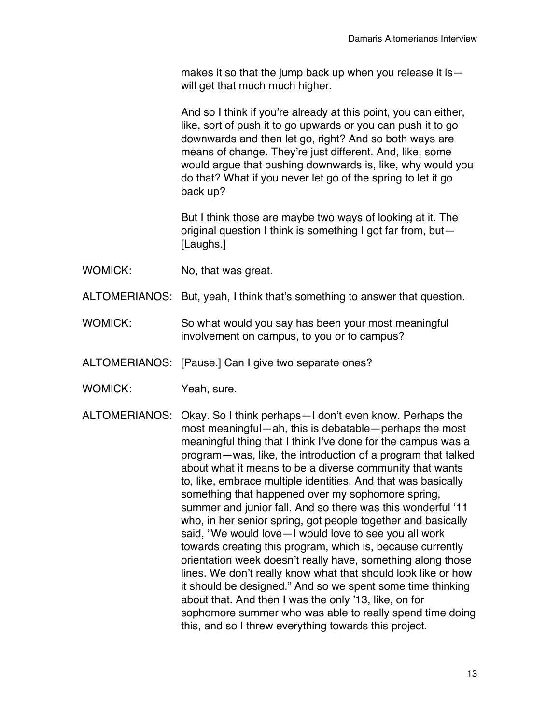makes it so that the jump back up when you release it is will get that much much higher.

And so I think if you're already at this point, you can either, like, sort of push it to go upwards or you can push it to go downwards and then let go, right? And so both ways are means of change. They're just different. And, like, some would argue that pushing downwards is, like, why would you do that? What if you never let go of the spring to let it go back up?

But I think those are maybe two ways of looking at it. The original question I think is something I got far from, but— [Laughs.]

- WOMICK: No, that was great.
- ALTOMERIANOS: But, yeah, I think that's something to answer that question.
- WOMICK: So what would you say has been your most meaningful involvement on campus, to you or to campus?
- ALTOMERIANOS: [Pause.] Can I give two separate ones?
- WOMICK: Yeah, sure.
- ALTOMERIANOS: Okay. So I think perhaps—I don't even know. Perhaps the most meaningful—ah, this is debatable—perhaps the most meaningful thing that I think I've done for the campus was a program—was, like, the introduction of a program that talked about what it means to be a diverse community that wants to, like, embrace multiple identities. And that was basically something that happened over my sophomore spring, summer and junior fall. And so there was this wonderful '11 who, in her senior spring, got people together and basically said, "We would love—I would love to see you all work towards creating this program, which is, because currently orientation week doesn't really have, something along those lines. We don't really know what that should look like or how it should be designed." And so we spent some time thinking about that. And then I was the only '13, like, on for sophomore summer who was able to really spend time doing this, and so I threw everything towards this project.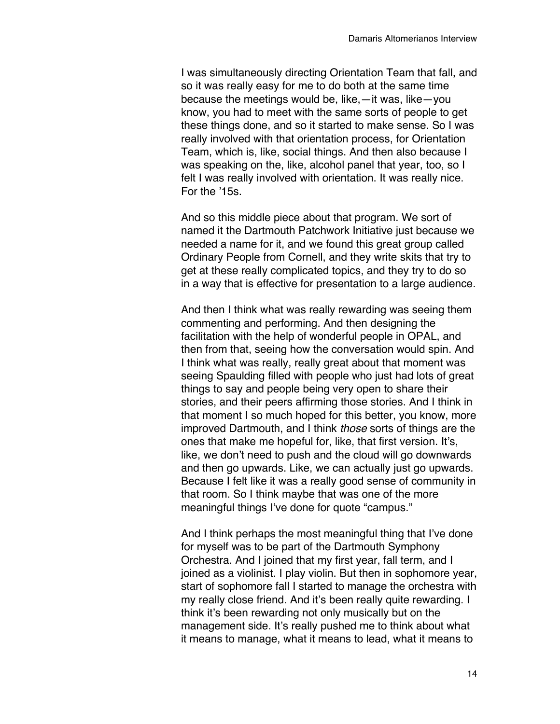I was simultaneously directing Orientation Team that fall, and so it was really easy for me to do both at the same time because the meetings would be, like,—it was, like—you know, you had to meet with the same sorts of people to get these things done, and so it started to make sense. So I was really involved with that orientation process, for Orientation Team, which is, like, social things. And then also because I was speaking on the, like, alcohol panel that year, too, so I felt I was really involved with orientation. It was really nice. For the '15s.

And so this middle piece about that program. We sort of named it the Dartmouth Patchwork Initiative just because we needed a name for it, and we found this great group called Ordinary People from Cornell, and they write skits that try to get at these really complicated topics, and they try to do so in a way that is effective for presentation to a large audience.

And then I think what was really rewarding was seeing them commenting and performing. And then designing the facilitation with the help of wonderful people in OPAL, and then from that, seeing how the conversation would spin. And I think what was really, really great about that moment was seeing Spaulding filled with people who just had lots of great things to say and people being very open to share their stories, and their peers affirming those stories. And I think in that moment I so much hoped for this better, you know, more improved Dartmouth, and I think *those* sorts of things are the ones that make me hopeful for, like, that first version. It's, like, we don't need to push and the cloud will go downwards and then go upwards. Like, we can actually just go upwards. Because I felt like it was a really good sense of community in that room. So I think maybe that was one of the more meaningful things I've done for quote "campus."

And I think perhaps the most meaningful thing that I've done for myself was to be part of the Dartmouth Symphony Orchestra. And I joined that my first year, fall term, and I joined as a violinist. I play violin. But then in sophomore year, start of sophomore fall I started to manage the orchestra with my really close friend. And it's been really quite rewarding. I think it's been rewarding not only musically but on the management side. It's really pushed me to think about what it means to manage, what it means to lead, what it means to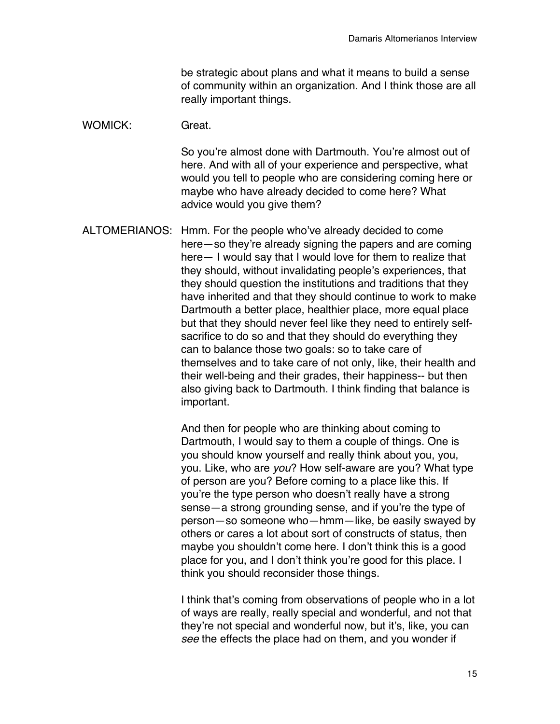be strategic about plans and what it means to build a sense of community within an organization. And I think those are all really important things.

## WOMICK: Great

So you're almost done with Dartmouth. You're almost out of here. And with all of your experience and perspective, what would you tell to people who are considering coming here or maybe who have already decided to come here? What advice would you give them?

ALTOMERIANOS: Hmm. For the people who've already decided to come here—so they're already signing the papers and are coming here— I would say that I would love for them to realize that they should, without invalidating people's experiences, that they should question the institutions and traditions that they have inherited and that they should continue to work to make Dartmouth a better place, healthier place, more equal place but that they should never feel like they need to entirely selfsacrifice to do so and that they should do everything they can to balance those two goals: so to take care of themselves and to take care of not only, like, their health and their well-being and their grades, their happiness-- but then also giving back to Dartmouth. I think finding that balance is important.

> And then for people who are thinking about coming to Dartmouth, I would say to them a couple of things. One is you should know yourself and really think about you, you, you. Like, who are *you*? How self-aware are you? What type of person are you? Before coming to a place like this. If you're the type person who doesn't really have a strong sense—a strong grounding sense, and if you're the type of person—so someone who—hmm—like, be easily swayed by others or cares a lot about sort of constructs of status, then maybe you shouldn't come here. I don't think this is a good place for you, and I don't think you're good for this place. I think you should reconsider those things.

> I think that's coming from observations of people who in a lot of ways are really, really special and wonderful, and not that they're not special and wonderful now, but it's, like, you can *see* the effects the place had on them, and you wonder if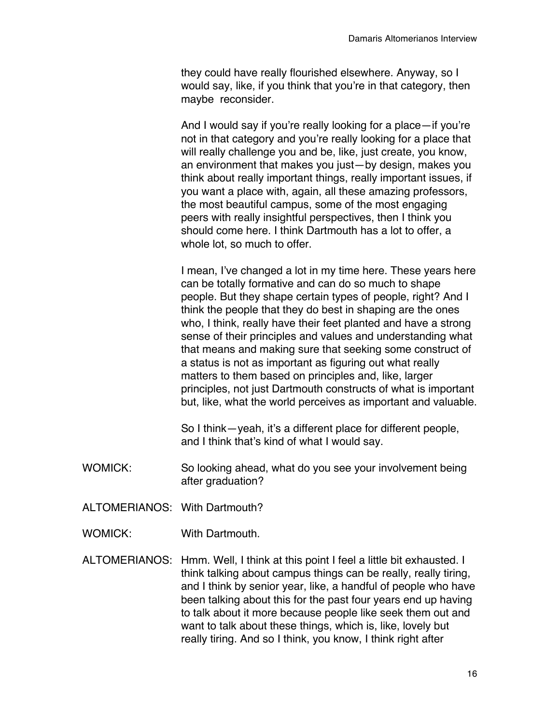they could have really flourished elsewhere. Anyway, so I would say, like, if you think that you're in that category, then maybe reconsider.

And I would say if you're really looking for a place—if you're not in that category and you're really looking for a place that will really challenge you and be, like, just create, you know, an environment that makes you just—by design, makes you think about really important things, really important issues, if you want a place with, again, all these amazing professors, the most beautiful campus, some of the most engaging peers with really insightful perspectives, then I think you should come here. I think Dartmouth has a lot to offer, a whole lot, so much to offer.

I mean, I've changed a lot in my time here. These years here can be totally formative and can do so much to shape people. But they shape certain types of people, right? And I think the people that they do best in shaping are the ones who, I think, really have their feet planted and have a strong sense of their principles and values and understanding what that means and making sure that seeking some construct of a status is not as important as figuring out what really matters to them based on principles and, like, larger principles, not just Dartmouth constructs of what is important but, like, what the world perceives as important and valuable.

So I think—yeah, it's a different place for different people, and I think that's kind of what I would say.

- WOMICK: So looking ahead, what do you see your involvement being after graduation?
- ALTOMERIANOS: With Dartmouth?
- WOMICK: With Dartmouth.
- ALTOMERIANOS: Hmm. Well, I think at this point I feel a little bit exhausted. I think talking about campus things can be really, really tiring, and I think by senior year, like, a handful of people who have been talking about this for the past four years end up having to talk about it more because people like seek them out and want to talk about these things, which is, like, lovely but really tiring. And so I think, you know, I think right after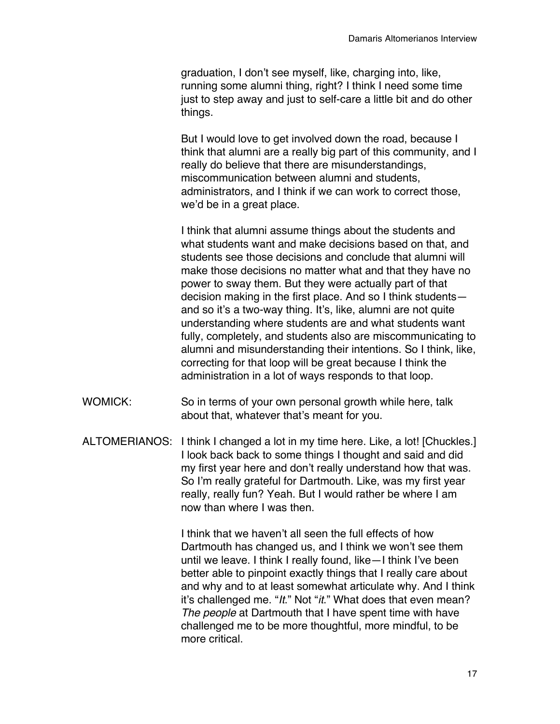graduation, I don't see myself, like, charging into, like, running some alumni thing, right? I think I need some time just to step away and just to self-care a little bit and do other things.

But I would love to get involved down the road, because I think that alumni are a really big part of this community, and I really do believe that there are misunderstandings, miscommunication between alumni and students, administrators, and I think if we can work to correct those, we'd be in a great place.

I think that alumni assume things about the students and what students want and make decisions based on that, and students see those decisions and conclude that alumni will make those decisions no matter what and that they have no power to sway them. But they were actually part of that decision making in the first place. And so I think students and so it's a two-way thing. It's, like, alumni are not quite understanding where students are and what students want fully, completely, and students also are miscommunicating to alumni and misunderstanding their intentions. So I think, like, correcting for that loop will be great because I think the administration in a lot of ways responds to that loop.

- WOMICK: So in terms of your own personal growth while here, talk about that, whatever that's meant for you.
- ALTOMERIANOS: I think I changed a lot in my time here. Like, a lot! [Chuckles.] I look back back to some things I thought and said and did my first year here and don't really understand how that was. So I'm really grateful for Dartmouth. Like, was my first year really, really fun? Yeah. But I would rather be where I am now than where I was then.

I think that we haven't all seen the full effects of how Dartmouth has changed us, and I think we won't see them until we leave. I think I really found, like—I think I've been better able to pinpoint exactly things that I really care about and why and to at least somewhat articulate why. And I think it's challenged me. "*It*." Not "*it*." What does that even mean? *The people* at Dartmouth that I have spent time with have challenged me to be more thoughtful, more mindful, to be more critical.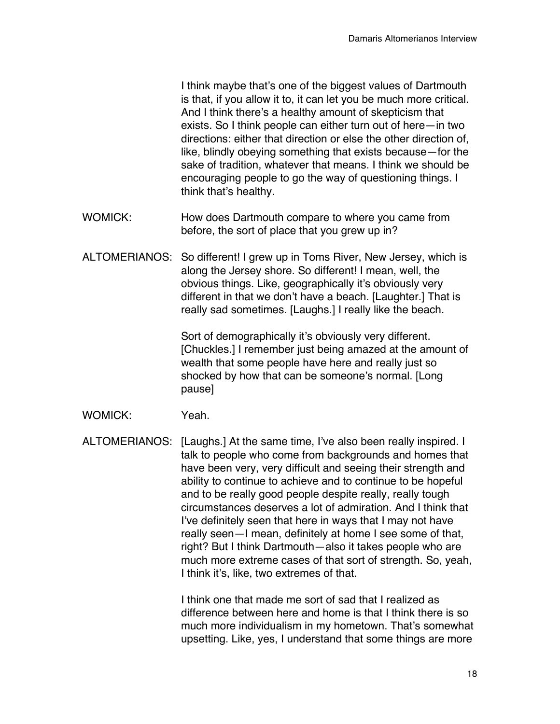I think maybe that's one of the biggest values of Dartmouth is that, if you allow it to, it can let you be much more critical. And I think there's a healthy amount of skepticism that exists. So I think people can either turn out of here—in two directions: either that direction or else the other direction of, like, blindly obeying something that exists because—for the sake of tradition, whatever that means. I think we should be encouraging people to go the way of questioning things. I think that's healthy.

- WOMICK: How does Dartmouth compare to where you came from before, the sort of place that you grew up in?
- ALTOMERIANOS: So different! I grew up in Toms River, New Jersey, which is along the Jersey shore. So different! I mean, well, the obvious things. Like, geographically it's obviously very different in that we don't have a beach. [Laughter.] That is really sad sometimes. [Laughs.] I really like the beach.

Sort of demographically it's obviously very different. [Chuckles.] I remember just being amazed at the amount of wealth that some people have here and really just so shocked by how that can be someone's normal. [Long pause]

- WOMICK: Yeah.
- ALTOMERIANOS: [Laughs.] At the same time, I've also been really inspired. I talk to people who come from backgrounds and homes that have been very, very difficult and seeing their strength and ability to continue to achieve and to continue to be hopeful and to be really good people despite really, really tough circumstances deserves a lot of admiration. And I think that I've definitely seen that here in ways that I may not have really seen—I mean, definitely at home I see some of that, right? But I think Dartmouth—also it takes people who are much more extreme cases of that sort of strength. So, yeah, I think it's, like, two extremes of that.

I think one that made me sort of sad that I realized as difference between here and home is that I think there is so much more individualism in my hometown. That's somewhat upsetting. Like, yes, I understand that some things are more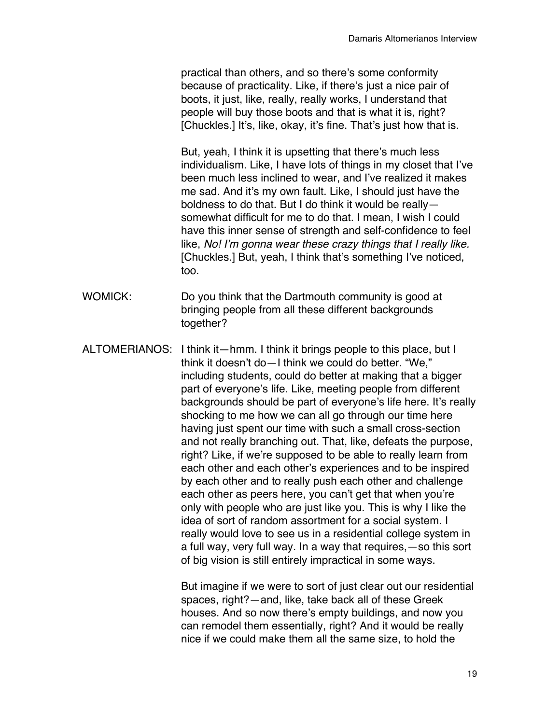practical than others, and so there's some conformity because of practicality. Like, if there's just a nice pair of boots, it just, like, really, really works, I understand that people will buy those boots and that is what it is, right? [Chuckles.] It's, like, okay, it's fine. That's just how that is.

But, yeah, I think it is upsetting that there's much less individualism. Like, I have lots of things in my closet that I've been much less inclined to wear, and I've realized it makes me sad. And it's my own fault. Like, I should just have the boldness to do that. But I do think it would be really somewhat difficult for me to do that. I mean, I wish I could have this inner sense of strength and self-confidence to feel like, *No! I'm gonna wear these crazy things that I really like.* [Chuckles.] But, yeah, I think that's something I've noticed, too.

- WOMICK: Do you think that the Dartmouth community is good at bringing people from all these different backgrounds together?
- ALTOMERIANOS: I think it—hmm. I think it brings people to this place, but I think it doesn't do—I think we could do better. "We," including students, could do better at making that a bigger part of everyone's life. Like, meeting people from different backgrounds should be part of everyone's life here. It's really shocking to me how we can all go through our time here having just spent our time with such a small cross-section and not really branching out. That, like, defeats the purpose, right? Like, if we're supposed to be able to really learn from each other and each other's experiences and to be inspired by each other and to really push each other and challenge each other as peers here, you can't get that when you're only with people who are just like you. This is why I like the idea of sort of random assortment for a social system. I really would love to see us in a residential college system in a full way, very full way. In a way that requires,—so this sort of big vision is still entirely impractical in some ways.

But imagine if we were to sort of just clear out our residential spaces, right?—and, like, take back all of these Greek houses. And so now there's empty buildings, and now you can remodel them essentially, right? And it would be really nice if we could make them all the same size, to hold the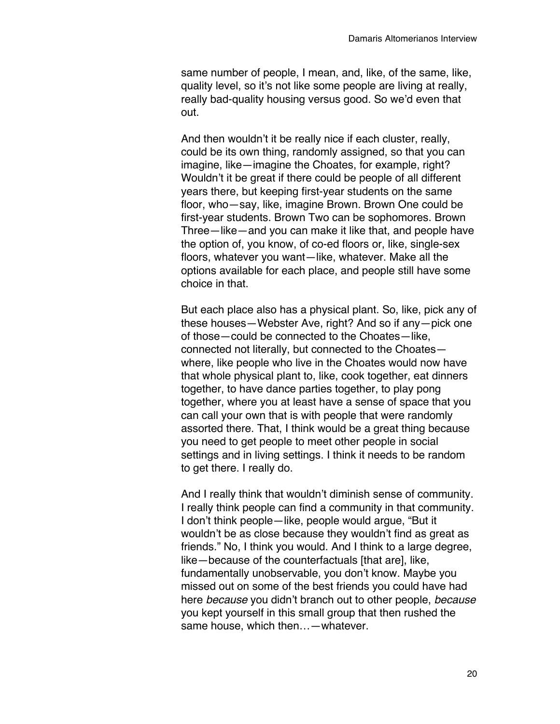same number of people, I mean, and, like, of the same, like, quality level, so it's not like some people are living at really, really bad-quality housing versus good. So we'd even that out.

And then wouldn't it be really nice if each cluster, really, could be its own thing, randomly assigned, so that you can imagine, like—imagine the Choates, for example, right? Wouldn't it be great if there could be people of all different years there, but keeping first-year students on the same floor, who—say, like, imagine Brown. Brown One could be first-year students. Brown Two can be sophomores. Brown Three—like—and you can make it like that, and people have the option of, you know, of co-ed floors or, like, single-sex floors, whatever you want—like, whatever. Make all the options available for each place, and people still have some choice in that.

But each place also has a physical plant. So, like, pick any of these houses—Webster Ave, right? And so if any—pick one of those—could be connected to the Choates—like, connected not literally, but connected to the Choates where, like people who live in the Choates would now have that whole physical plant to, like, cook together, eat dinners together, to have dance parties together, to play pong together, where you at least have a sense of space that you can call your own that is with people that were randomly assorted there. That, I think would be a great thing because you need to get people to meet other people in social settings and in living settings. I think it needs to be random to get there. I really do.

And I really think that wouldn't diminish sense of community. I really think people can find a community in that community. I don't think people—like, people would argue, "But it wouldn't be as close because they wouldn't find as great as friends." No, I think you would. And I think to a large degree, like—because of the counterfactuals [that are], like, fundamentally unobservable, you don't know. Maybe you missed out on some of the best friends you could have had here *because* you didn't branch out to other people, *because* you kept yourself in this small group that then rushed the same house, which then... - whatever.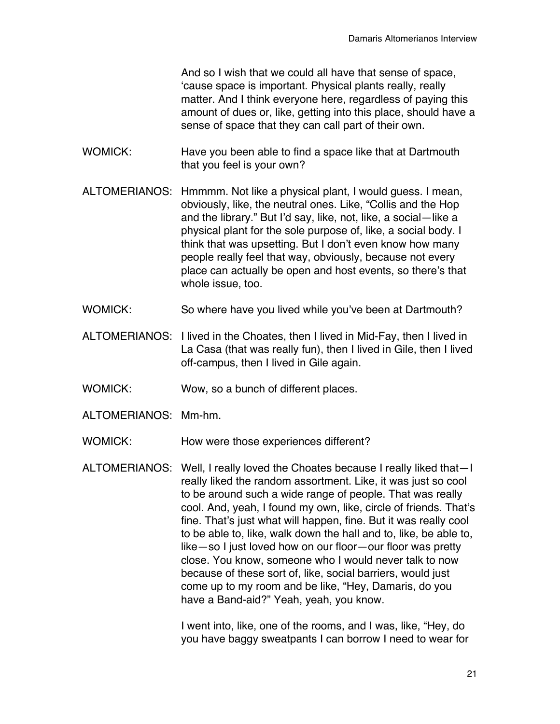And so I wish that we could all have that sense of space, 'cause space is important. Physical plants really, really matter. And I think everyone here, regardless of paying this amount of dues or, like, getting into this place, should have a sense of space that they can call part of their own.

- WOMICK: Have you been able to find a space like that at Dartmouth that you feel is your own?
- ALTOMERIANOS: Hmmmm. Not like a physical plant, I would guess. I mean, obviously, like, the neutral ones. Like, "Collis and the Hop and the library." But I'd say, like, not, like, a social—like a physical plant for the sole purpose of, like, a social body. I think that was upsetting. But I don't even know how many people really feel that way, obviously, because not every place can actually be open and host events, so there's that whole issue, too.
- WOMICK: So where have you lived while you've been at Dartmouth?
- ALTOMERIANOS: I lived in the Choates, then I lived in Mid-Fay, then I lived in La Casa (that was really fun), then I lived in Gile, then I lived off-campus, then I lived in Gile again.
- WOMICK: Wow, so a bunch of different places.
- ALTOMERIANOS: Mm-hm.

WOMICK: How were those experiences different?

ALTOMERIANOS: Well, I really loved the Choates because I really liked that—I really liked the random assortment. Like, it was just so cool to be around such a wide range of people. That was really cool. And, yeah, I found my own, like, circle of friends. That's fine. That's just what will happen, fine. But it was really cool to be able to, like, walk down the hall and to, like, be able to, like—so I just loved how on our floor—our floor was pretty close. You know, someone who I would never talk to now because of these sort of, like, social barriers, would just come up to my room and be like, "Hey, Damaris, do you have a Band-aid?" Yeah, yeah, you know.

> I went into, like, one of the rooms, and I was, like, "Hey, do you have baggy sweatpants I can borrow I need to wear for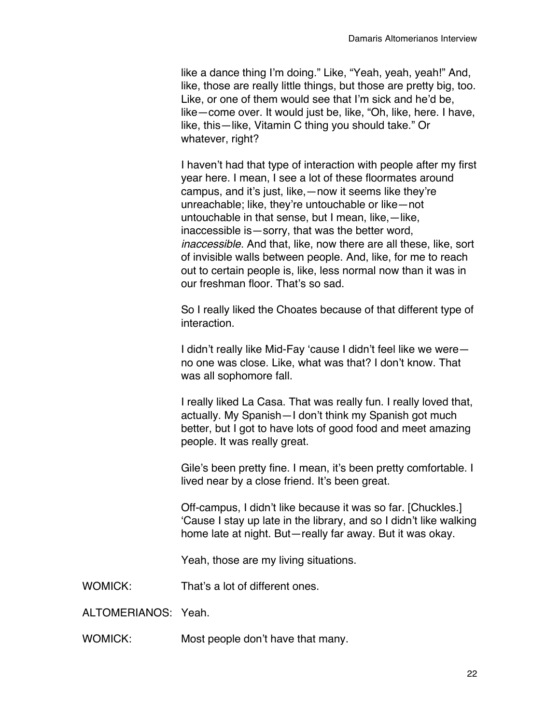like a dance thing I'm doing." Like, "Yeah, yeah, yeah!" And, like, those are really little things, but those are pretty big, too. Like, or one of them would see that I'm sick and he'd be, like—come over. It would just be, like, "Oh, like, here. I have, like, this—like, Vitamin C thing you should take." Or whatever, right?

I haven't had that type of interaction with people after my first year here. I mean, I see a lot of these floormates around campus, and it's just, like,—now it seems like they're unreachable; like, they're untouchable or like—not untouchable in that sense, but I mean, like,—like, inaccessible is—sorry, that was the better word, *inaccessible.* And that, like, now there are all these, like, sort of invisible walls between people. And, like, for me to reach out to certain people is, like, less normal now than it was in our freshman floor. That's so sad.

So I really liked the Choates because of that different type of interaction.

I didn't really like Mid-Fay 'cause I didn't feel like we were no one was close. Like, what was that? I don't know. That was all sophomore fall.

I really liked La Casa. That was really fun. I really loved that, actually. My Spanish—I don't think my Spanish got much better, but I got to have lots of good food and meet amazing people. It was really great.

Gile's been pretty fine. I mean, it's been pretty comfortable. I lived near by a close friend. It's been great.

Off-campus, I didn't like because it was so far. [Chuckles.] 'Cause I stay up late in the library, and so I didn't like walking home late at night. But—really far away. But it was okay.

Yeah, those are my living situations.

WOMICK: That's a lot of different ones.

ALTOMERIANOS: Yeah.

WOMICK: Most people don't have that many.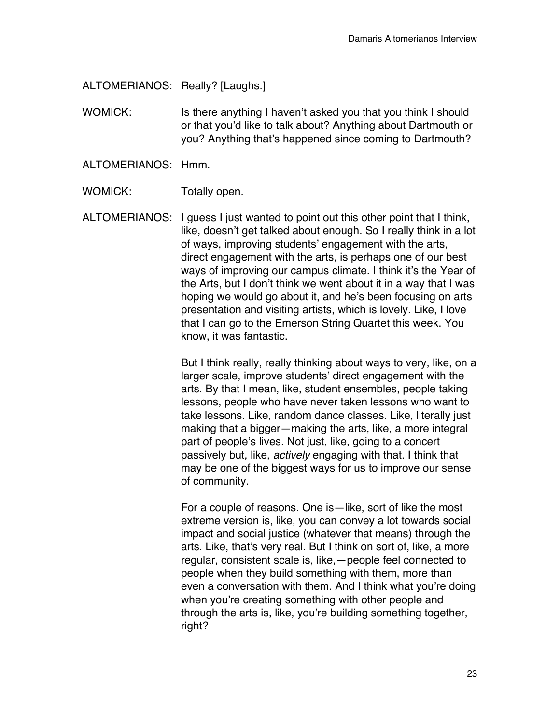ALTOMERIANOS: Really? [Laughs.]

WOMICK: Is there anything I haven't asked you that you think I should or that you'd like to talk about? Anything about Dartmouth or you? Anything that's happened since coming to Dartmouth?

- ALTOMERIANOS: Hmm.
- WOMICK: Totally open.

ALTOMERIANOS: I guess I just wanted to point out this other point that I think, like, doesn't get talked about enough. So I really think in a lot of ways, improving students' engagement with the arts, direct engagement with the arts, is perhaps one of our best ways of improving our campus climate. I think it's the Year of the Arts, but I don't think we went about it in a way that I was hoping we would go about it, and he's been focusing on arts presentation and visiting artists, which is lovely. Like, I love that I can go to the Emerson String Quartet this week. You know, it was fantastic.

> But I think really, really thinking about ways to very, like, on a larger scale, improve students' direct engagement with the arts. By that I mean, like, student ensembles, people taking lessons, people who have never taken lessons who want to take lessons. Like, random dance classes. Like, literally just making that a bigger—making the arts, like, a more integral part of people's lives. Not just, like, going to a concert passively but, like, *actively* engaging with that. I think that may be one of the biggest ways for us to improve our sense of community.

> For a couple of reasons. One is—like, sort of like the most extreme version is, like, you can convey a lot towards social impact and social justice (whatever that means) through the arts. Like, that's very real. But I think on sort of, like, a more regular, consistent scale is, like,—people feel connected to people when they build something with them, more than even a conversation with them. And I think what you're doing when you're creating something with other people and through the arts is, like, you're building something together, right?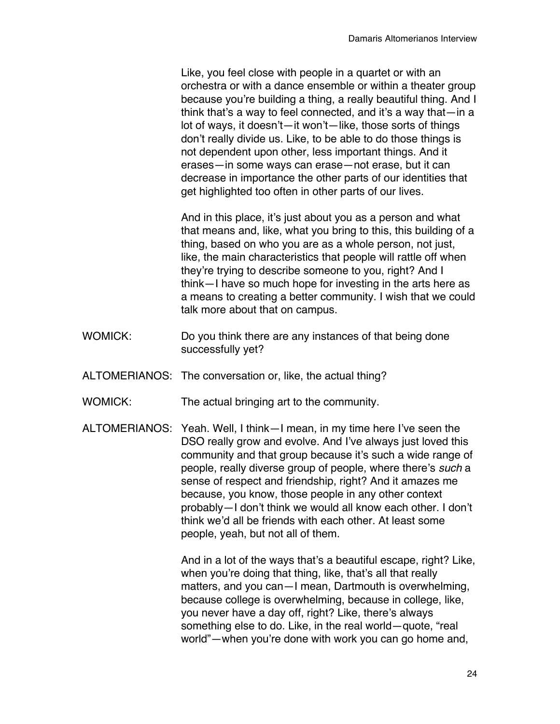Like, you feel close with people in a quartet or with an orchestra or with a dance ensemble or within a theater group because you're building a thing, a really beautiful thing. And I think that's a way to feel connected, and it's a way that—in a lot of ways, it doesn't—it won't—like, those sorts of things don't really divide us. Like, to be able to do those things is not dependent upon other, less important things. And it erases—in some ways can erase—not erase, but it can decrease in importance the other parts of our identities that get highlighted too often in other parts of our lives.

And in this place, it's just about you as a person and what that means and, like, what you bring to this, this building of a thing, based on who you are as a whole person, not just, like, the main characteristics that people will rattle off when they're trying to describe someone to you, right? And I think—I have so much hope for investing in the arts here as a means to creating a better community. I wish that we could talk more about that on campus.

- WOMICK: Do you think there are any instances of that being done successfully yet?
- ALTOMERIANOS: The conversation or, like, the actual thing?
- WOMICK: The actual bringing art to the community.
- ALTOMERIANOS: Yeah. Well, I think—I mean, in my time here I've seen the DSO really grow and evolve. And I've always just loved this community and that group because it's such a wide range of people, really diverse group of people, where there's *such* a sense of respect and friendship, right? And it amazes me because, you know, those people in any other context probably—I don't think we would all know each other. I don't think we'd all be friends with each other. At least some people, yeah, but not all of them.

And in a lot of the ways that's a beautiful escape, right? Like, when you're doing that thing, like, that's all that really matters, and you can—I mean, Dartmouth is overwhelming, because college is overwhelming, because in college, like, you never have a day off, right? Like, there's always something else to do. Like, in the real world—quote, "real world"—when you're done with work you can go home and,